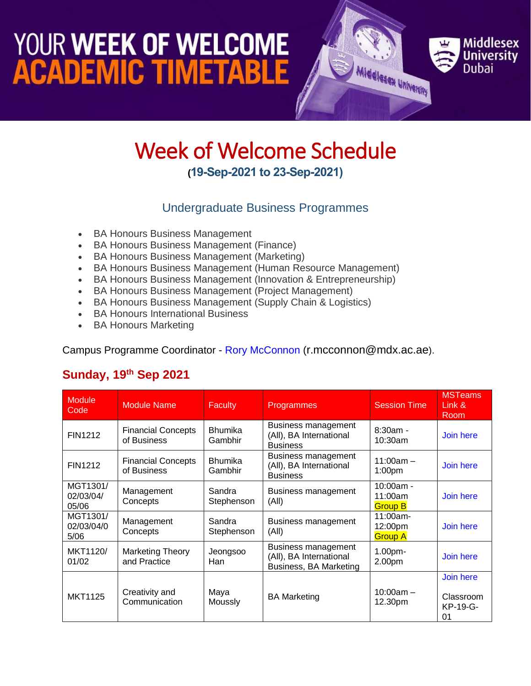### YOUR WEEK OF WELCOME **ACADEMIC TIMETABLE**



### Week of Welcome Schedule **(19-Sep-2021 to 23-Sep-2021)**

#### Undergraduate Business Programmes

- BA Honours Business Management
- BA Honours Business Management (Finance)
- BA Honours Business Management (Marketing)
- BA Honours Business Management (Human Resource Management)
- BA Honours Business Management (Innovation & Entrepreneurship)
- BA Honours Business Management (Project Management)
- BA Honours Business Management (Supply Chain & Logistics)
- BA Honours International Business
- BA Honours Marketing

Campus Programme Coordinator - [Rory McConnon](https://www.mdx.ac.ae/about-us/our-people/staff-detail/rory-mcconnon) ([r.mcconnon@mdx.ac.ae](mailto:r.mcconnon@mdx.ac.ae)).

#### **Sunday, 19th Sep 2021**

| <b>Module</b><br>Code          | <b>Module Name</b>                       | <b>Faculty</b>            | Programmes                                                                      | <b>Session Time</b>                      | <b>MSTeams</b><br>Link &<br>Room         |
|--------------------------------|------------------------------------------|---------------------------|---------------------------------------------------------------------------------|------------------------------------------|------------------------------------------|
| <b>FIN1212</b>                 | <b>Financial Concepts</b><br>of Business | <b>Bhumika</b><br>Gambhir | Business management<br>(All), BA International<br><b>Business</b>               | $8:30am -$<br>10:30am                    | Join here                                |
| <b>FIN1212</b>                 | <b>Financial Concepts</b><br>of Business | <b>Bhumika</b><br>Gambhir | <b>Business management</b><br>(All), BA International<br><b>Business</b>        | $11:00am -$<br>1:00 <sub>pm</sub>        | Join here                                |
| MGT1301/<br>02/03/04/<br>05/06 | Management<br>Concepts                   | Sandra<br>Stephenson      | Business management<br>(A  )                                                    | $10:00am -$<br>11:00am<br><b>Group B</b> | Join here                                |
| MGT1301/<br>02/03/04/0<br>5/06 | Management<br>Concepts                   | Sandra<br>Stephenson      | Business management<br>(A  )                                                    | 11:00am-<br>12:00pm<br><b>Group A</b>    | Join here                                |
| MKT1120/<br>01/02              | <b>Marketing Theory</b><br>and Practice  | Jeongsoo<br>Han           | <b>Business management</b><br>(All), BA International<br>Business, BA Marketing | 1.00pm-<br>2.00pm                        | Join here                                |
| <b>MKT1125</b>                 | Creativity and<br>Communication          | Maya<br>Moussly           | <b>BA Marketing</b>                                                             | $10:00am -$<br>12.30pm                   | Join here<br>Classroom<br>KP-19-G-<br>01 |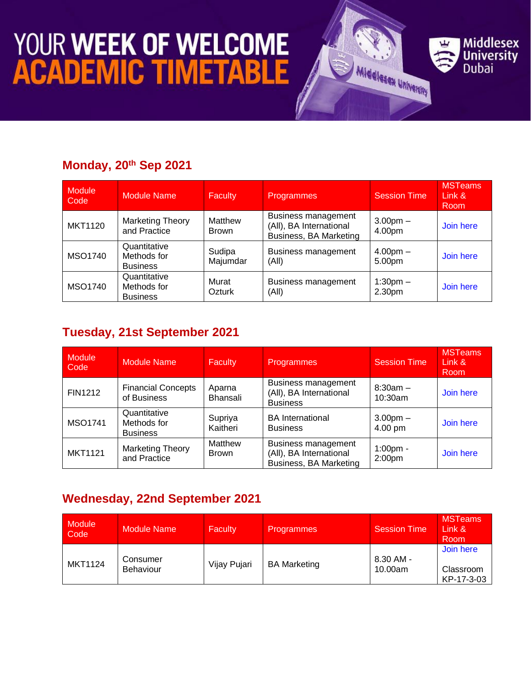# **YOUR WEEK OF WELCOME<br>ACADEMIC TIMETABLE**

#### **Monday, 20th Sep 2021**

| <b>Module</b><br>Code | <b>Module Name</b>                             | <b>Faculty</b>         | Programmes                                                                      | <b>Session Time</b>  | <b>MSTeams</b><br>Link &<br><b>Room</b> |
|-----------------------|------------------------------------------------|------------------------|---------------------------------------------------------------------------------|----------------------|-----------------------------------------|
| <b>MKT1120</b>        | <b>Marketing Theory</b><br>and Practice        | Matthew<br>Brown       | <b>Business management</b><br>(All), BA International<br>Business, BA Marketing | $3.00pm -$<br>4.00pm | Join here                               |
| MSO1740               | Quantitative<br>Methods for<br><b>Business</b> | Sudipa<br>Majumdar     | Business management<br>(All)                                                    | $4.00pm -$<br>5.00pm | Join here                               |
| MSO1740               | Quantitative<br>Methods for<br><b>Business</b> | Murat<br><b>Ozturk</b> | Business management<br>(A  )                                                    | $1:30pm -$<br>2.30pm | Join here                               |

**Middlesex** 

**University**<br>Dubai

Middlesex University

#### **Tuesday, 21st September 2021**

| <b>Module</b><br>Code | <b>Module Name</b>                             | <b>Faculty</b>          | Programmes                                                                      | <b>Session Time</b>               | <b>MSTeams</b><br>Link $\&$<br><b>Room</b> |
|-----------------------|------------------------------------------------|-------------------------|---------------------------------------------------------------------------------|-----------------------------------|--------------------------------------------|
| <b>FIN1212</b>        | <b>Financial Concepts</b><br>of Business       | Aparna<br>Bhansali      | Business management<br>(All), BA International<br><b>Business</b>               | $8:30am -$<br>10:30am             | Join here                                  |
| <b>MSO1741</b>        | Quantitative<br>Methods for<br><b>Business</b> | Supriya<br>Kaitheri     | <b>BA</b> International<br><b>Business</b>                                      | $3.00pm -$<br>4.00 pm             | Join here                                  |
| <b>MKT1121</b>        | <b>Marketing Theory</b><br>and Practice        | Matthew<br><b>Brown</b> | <b>Business management</b><br>(All), BA International<br>Business, BA Marketing | $1:00$ pm -<br>2:00 <sub>pm</sub> | Join here                                  |

#### **Wednesday, 22nd September 2021**

| <b>Module</b><br>Code | <b>Module Name</b>           | <b>Faculty</b> | <b>Programmes</b>   | <b>Session Time</b>  | <b>MSTeams</b><br>Link &<br>Room     |
|-----------------------|------------------------------|----------------|---------------------|----------------------|--------------------------------------|
| <b>MKT1124</b>        | Consumer<br><b>Behaviour</b> | Vijay Pujari   | <b>BA Marketing</b> | 8.30 AM -<br>10.00am | Join here<br>Classroom<br>KP-17-3-03 |